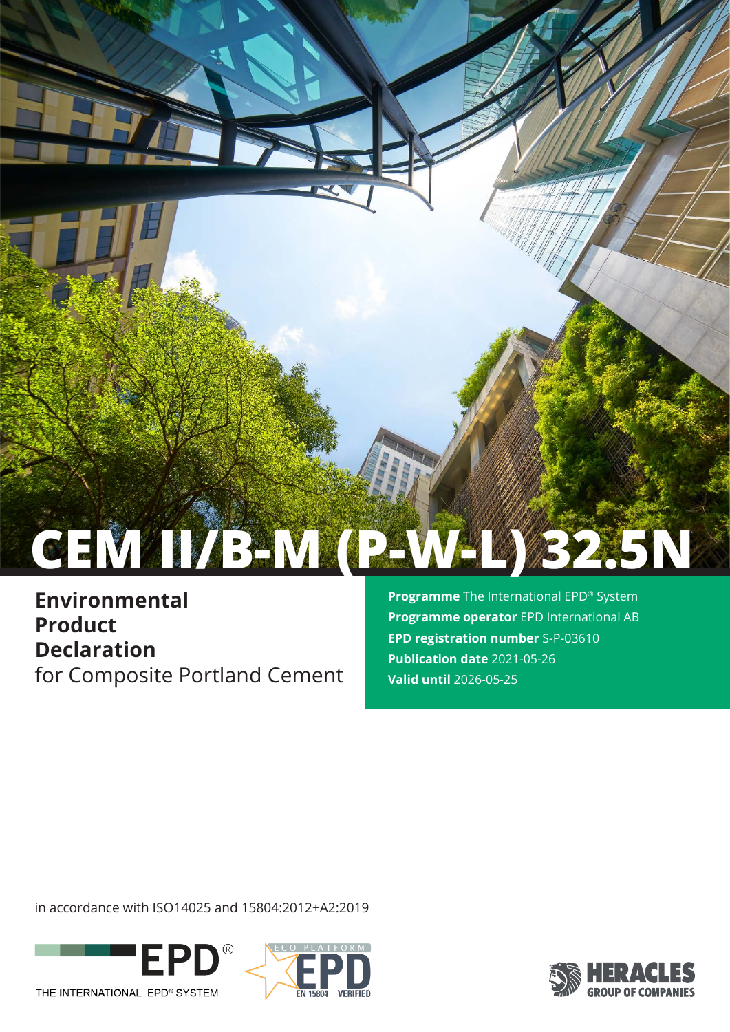# **CEM II/B-M (P-W-L) 32.5N**

**Environmental Product Declaration** for Composite Portland Cement **Programme** The International EPD® System **Programme operator** EPD International AB **EPD registration number** S-P-03610 **Publication date** 2021-05-26 **Valid until** 2026-05-25

in accordance with ISO14025 and 15804:2012+A2:2019





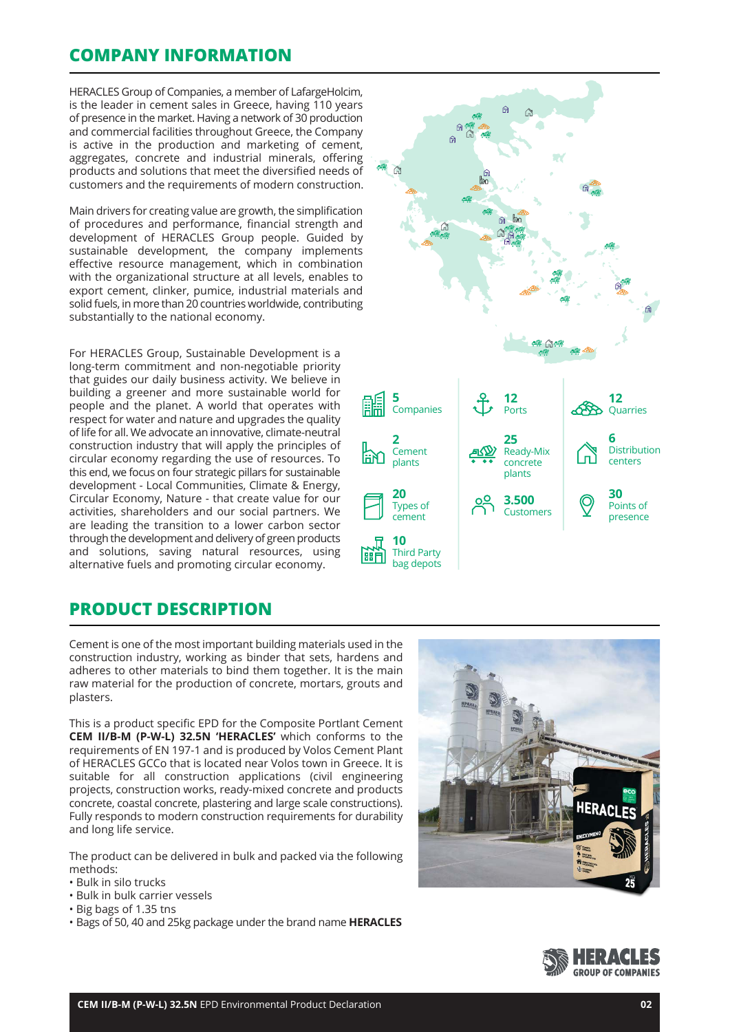## **COMPANY INFORMATION**

HERACLES Group of Companies, a member of LafargeHolcim, is the leader in cement sales in Greece, having 110 years of presence in the market. Having a network of 30 production and commercial facilities throughout Greece, the Company is active in the production and marketing of cement, aggregates, concrete and industrial minerals, offering products and solutions that meet the diversified needs of customers and the requirements of modern construction.

Main drivers for creating value are growth, the simplification of procedures and performance, financial strength and development of HERACLES Group people. Guided by sustainable development, the company implements effective resource management, which in combination with the organizational structure at all levels, enables to export cement, clinker, pumice, industrial materials and solid fuels, in more than 20 countries worldwide, contributing substantially to the national economy.

For HERACLES Group, Sustainable Development is a long-term commitment and non-negotiable priority that guides our daily business activity. We believe in building a greener and more sustainable world for people and the planet. A world that operates with respect for water and nature and upgrades the quality of life for all. We advocate an innovative, climate-neutral construction industry that will apply the principles of circular economy regarding the use of resources. To this end, we focus on four strategic pillars for sustainable development - Local Communities, Climate & Energy, Circular Economy, Nature - that create value for our activities, shareholders and our social partners. We are leading the transition to a lower carbon sector through the development and delivery of green products and solutions, saving natural resources, using alternative fuels and promoting circular economy.



## **PRODUCT DESCRIPTION**

Cement is one of the most important building materials used in the construction industry, working as binder that sets, hardens and adheres to other materials to bind them together. It is the main raw material for the production of concrete, mortars, grouts and plasters.

This is a product specific EPD for the Composite Portlant Cement **CEM II/B-M (P-W-L) 32.5N 'HERACLES'** which conforms to the requirements of EN 197-1 and is produced by Volos Cement Plant of HERACLES GCCo that is located near Volos town in Greece. It is suitable for all construction applications (civil engineering projects, construction works, ready-mixed concrete and products concrete, coastal concrete, plastering and large scale constructions). Fully responds to modern construction requirements for durability and long life service.

The product can be delivered in bulk and packed via the following methods:

- Bulk in silo trucks
- Bulk in bulk carrier vessels
- Big bags of 1.35 tns
- Bags of 50, 40 and 25kg package under the brand name **HERACLES**



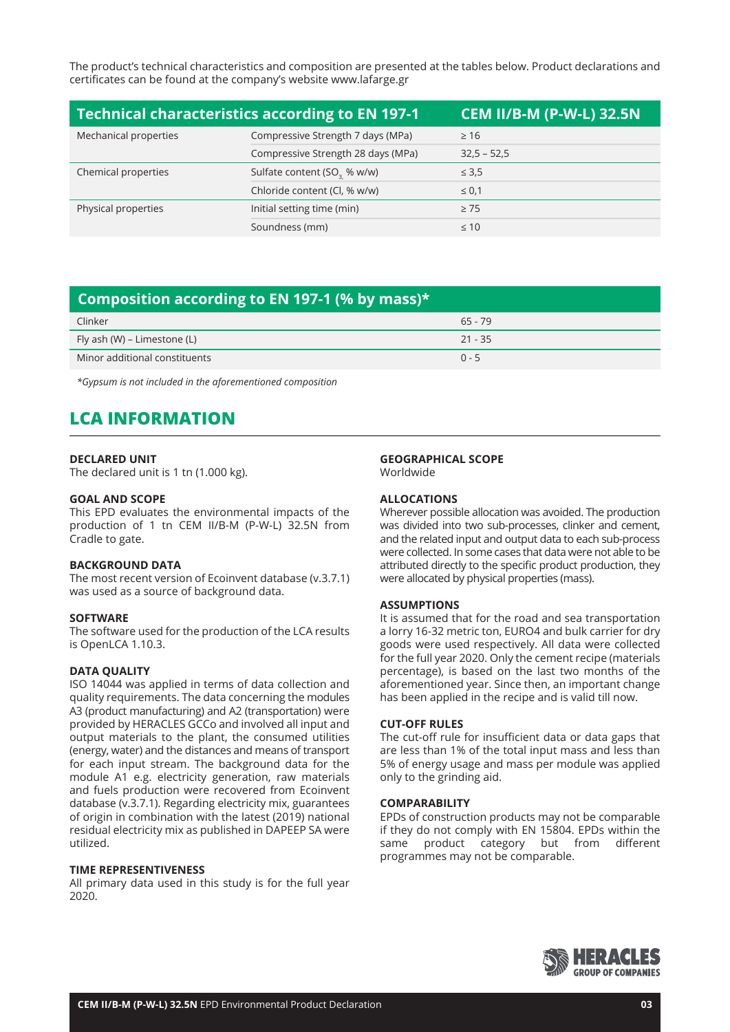The product's technical characteristics and composition are presented at the tables below. Product declarations and certificates can be found at the company's website www.lafarge.gr

| <b>Technical characteristics according to EN 197-1</b><br><b>CEM II/B-M (P-W-L) 32.5N</b> |                                         |               |  |
|-------------------------------------------------------------------------------------------|-----------------------------------------|---------------|--|
| Mechanical properties                                                                     | Compressive Strength 7 days (MPa)       | $\geq 16$     |  |
|                                                                                           | Compressive Strength 28 days (MPa)      | $32,5 - 52,5$ |  |
| Chemical properties                                                                       | Sulfate content (SO <sub>3</sub> % w/w) | $\leq 3.5$    |  |
|                                                                                           | Chloride content (Cl, % w/w)            | $\leq 0.1$    |  |
| Physical properties                                                                       | Initial setting time (min)              | $\geq$ 75     |  |
|                                                                                           | Soundness (mm)                          | $\leq 10$     |  |

## **Composition according to EN 197-1 (% by mass)\***

| Clinker                       | $65 - 79$ |
|-------------------------------|-----------|
| Fly ash (W) – Limestone (L)   | $21 - 35$ |
| Minor additional constituents | $0 - 5$   |

*\*Gypsum is not included in the aforementioned composition*

# **LCA INFORMATION**

#### **DECLARED UNIT**

The declared unit is 1 tn (1.000 kg).

#### **GOAL AND SCOPE**

This EPD evaluates the environmental impacts of the production of 1 tn CEM II/B-M (P-W-L) 32.5N from Cradle to gate.

#### **BACKGROUND DATA**

The most recent version of Ecoinvent database (v.3.7.1) was used as a source of background data.

#### **SOFTWARE**

The software used for the production of the LCA results is OpenLCA 1.10.3.

#### **DATA QUALITY**

ISO 14044 was applied in terms of data collection and quality requirements. The data concerning the modules A3 (product manufacturing) and A2 (transportation) were provided by HERACLES GCCo and involved all input and output materials to the plant, the consumed utilities (energy, water) and the distances and means of transport for each input stream. The background data for the module A1 e.g. electricity generation, raw materials and fuels production were recovered from Ecoinvent database (v.3.7.1). Regarding electricity mix, guarantees of origin in combination with the latest (2019) national residual electricity mix as published in DAPEEP SA were utilized.

#### **TIME REPRESENTIVENESS**

All primary data used in this study is for the full year 2020.

#### **GEOGRAPHICAL SCOPE**

Worldwide

#### **ALLOCATIONS**

Wherever possible allocation was avoided. The production was divided into two sub-processes, clinker and cement, and the related input and output data to each sub-process were collected. In some cases that data were not able to be attributed directly to the specific product production, they were allocated by physical properties (mass).

#### **ASSUMPTIONS**

It is assumed that for the road and sea transportation a lorry 16-32 metric ton, EURO4 and bulk carrier for dry goods were used respectively. All data were collected for the full year 2020. Only the cement recipe (materials percentage), is based on the last two months of the aforementioned year. Since then, an important change has been applied in the recipe and is valid till now.

#### **CUT-OFF RULES**

The cut-off rule for insufficient data or data gaps that are less than 1% of the total input mass and less than 5% of energy usage and mass per module was applied only to the grinding aid.

#### **COMPARABILITY**

EPDs of construction products may not be comparable if they do not comply with EN 15804. EPDs within the same product category but from different programmes may not be comparable.

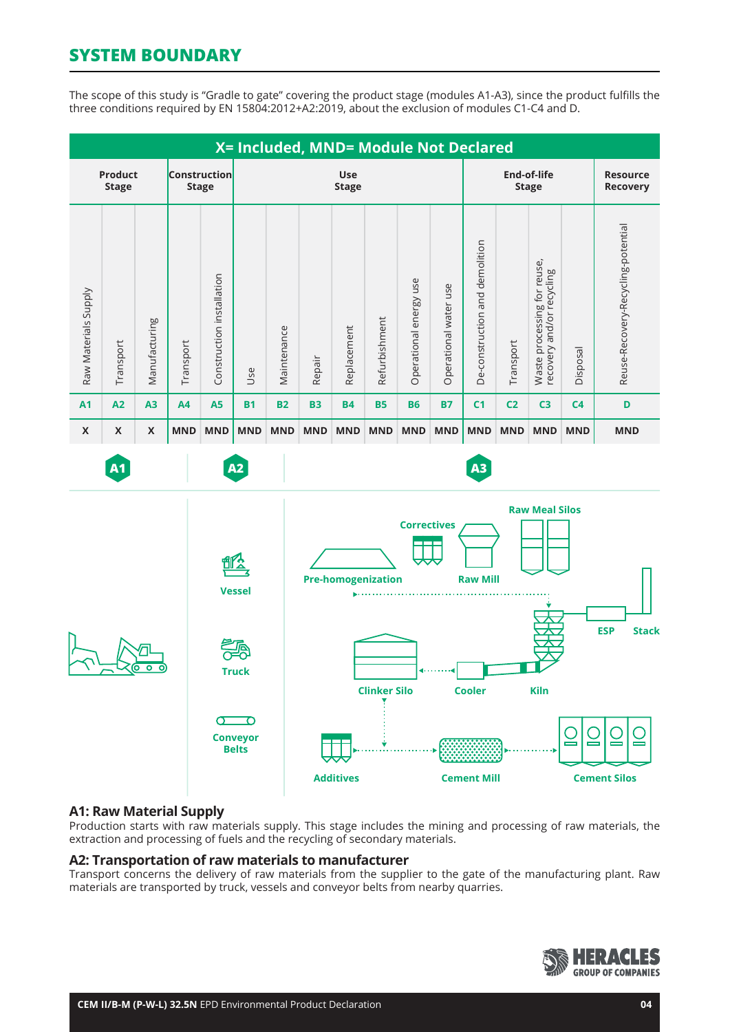# **SYSTEM BOUNDARY**

The scope of this study is "Gradle to gate" covering the product stage (modules A1-A3), since the product fulfills the three conditions required by EN 15804:2012+A2:2019, about the exclusion of modules C1-C4 and D.



### **A1: Raw Material Supply**

Production starts with raw materials supply. This stage includes the mining and processing of raw materials, the extraction and processing of fuels and the recycling of secondary materials.

#### **A2: Transportation of raw materials to manufacturer**

Transport concerns the delivery of raw materials from the supplier to the gate of the manufacturing plant. Raw materials are transported by truck, vessels and conveyor belts from nearby quarries.

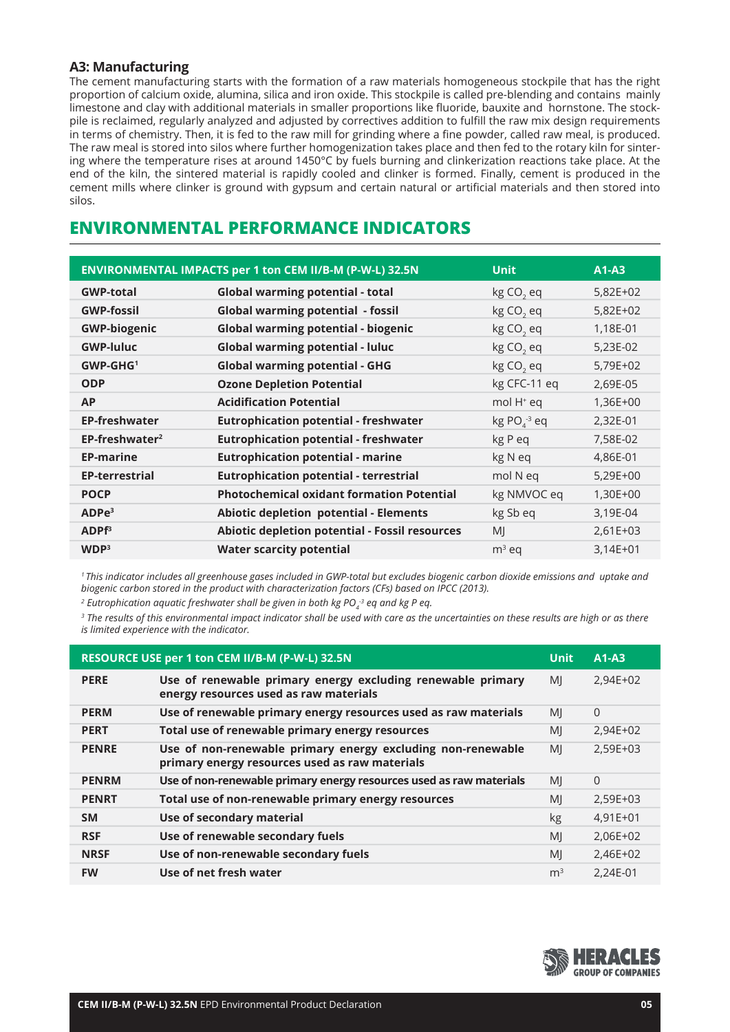## **A3: Manufacturing**

The cement manufacturing starts with the formation of a raw materials homogeneous stockpile that has the right proportion of calcium oxide, alumina, silica and iron oxide. This stockpile is called pre-blending and contains mainly limestone and clay with additional materials in smaller proportions like fluoride, bauxite and hornstone. The stockpile is reclaimed, regularly analyzed and adjusted by correctives addition to fulfill the raw mix design requirements in terms of chemistry. Then, it is fed to the raw mill for grinding where a fine powder, called raw meal, is produced. The raw meal is stored into silos where further homogenization takes place and then fed to the rotary kiln for sintering where the temperature rises at around 1450°C by fuels burning and clinkerization reactions take place. At the end of the kiln, the sintered material is rapidly cooled and clinker is formed. Finally, cement is produced in the cement mills where clinker is ground with gypsum and certain natural or artificial materials and then stored into silos.

## **ENVIRONMENTAL PERFORMANCE INDICATORS**

|                            | ENVIRONMENTAL IMPACTS per 1 ton CEM II/B-M (P-W-L) 32.5N | <b>Unit</b>              | $A1-A3$    |
|----------------------------|----------------------------------------------------------|--------------------------|------------|
| <b>GWP-total</b>           | <b>Global warming potential - total</b>                  | kg CO <sub>2</sub> eq    | 5,82E+02   |
| <b>GWP-fossil</b>          | <b>Global warming potential - fossil</b>                 | kg CO <sub>2</sub> eq    | 5,82E+02   |
| <b>GWP-biogenic</b>        | <b>Global warming potential - biogenic</b>               | kg CO <sub>2</sub> eq    | 1,18E-01   |
| <b>GWP-luluc</b>           | <b>Global warming potential - luluc</b>                  | kg CO <sub>2</sub> eq    | 5,23E-02   |
| $GWP-GHG1$                 | <b>Global warming potential - GHG</b>                    | kg CO <sub>2</sub> eq    | 5,79E+02   |
| <b>ODP</b>                 | <b>Ozone Depletion Potential</b>                         | kg CFC-11 eq             | 2,69E-05   |
| <b>AP</b>                  | <b>Acidification Potential</b>                           | mol H <sup>+</sup> eq    | 1,36E+00   |
| <b>EP-freshwater</b>       | <b>Eutrophication potential - freshwater</b>             | $kg PO4$ <sup>3</sup> eq | 2,32E-01   |
| EP-freshwater <sup>2</sup> | <b>Eutrophication potential - freshwater</b>             | kg P eq                  | 7,58E-02   |
| <b>EP-marine</b>           | <b>Eutrophication potential - marine</b>                 | kg N eq                  | 4,86E-01   |
| <b>EP-terrestrial</b>      | <b>Eutrophication potential - terrestrial</b>            | mol N eq                 | $5,29E+00$ |
| <b>POCP</b>                | <b>Photochemical oxidant formation Potential</b>         | kg NMVOC eq              | 1,30E+00   |
| ADPe <sup>3</sup>          | <b>Abiotic depletion potential - Elements</b>            | kg Sb eq                 | 3,19E-04   |
| ADPF <sup>3</sup>          | Abiotic depletion potential - Fossil resources           | MI                       | $2,61E+03$ |
| WDP <sup>3</sup>           | <b>Water scarcity potential</b>                          | $m3$ eq                  | $3,14E+01$ |

*1 This indicator includes all greenhouse gases included in GWP-total but excludes biogenic carbon dioxide emissions and uptake and biogenic carbon stored in the product with characterization factors (CFs) based on IPCC (2013).* 

<sup>2</sup> Eutrophication aquatic freshwater shall be given in both kg PO<sub>4</sub><sup>3</sup> eq and kg P eq.

*3 The results of this environmental impact indicator shall be used with care as the uncertainties on these results are high or as there is limited experience with the indicator.*

| RESOURCE USE per 1 ton CEM II/B-M (P-W-L) 32.5N |                                                                                                               |                | $A1-A3$    |
|-------------------------------------------------|---------------------------------------------------------------------------------------------------------------|----------------|------------|
| <b>PERE</b>                                     | Use of renewable primary energy excluding renewable primary<br>energy resources used as raw materials         | MI             | $2,94E+02$ |
| <b>PERM</b>                                     | Use of renewable primary energy resources used as raw materials                                               | MI             | $\Omega$   |
| <b>PERT</b>                                     | Total use of renewable primary energy resources                                                               | MI             | 2,94E+02   |
| <b>PENRE</b>                                    | Use of non-renewable primary energy excluding non-renewable<br>primary energy resources used as raw materials | MI             | 2,59E+03   |
| <b>PENRM</b>                                    | Use of non-renewable primary energy resources used as raw materials                                           | MI             | $\Omega$   |
| <b>PENRT</b>                                    | Total use of non-renewable primary energy resources                                                           | MI             | 2,59E+03   |
| <b>SM</b>                                       | Use of secondary material                                                                                     | kg             | $4,91E+01$ |
| <b>RSF</b>                                      | Use of renewable secondary fuels                                                                              | MI             | 2,06E+02   |
| <b>NRSF</b>                                     | Use of non-renewable secondary fuels                                                                          | MI             | 2,46E+02   |
| <b>FW</b>                                       | Use of net fresh water                                                                                        | m <sup>3</sup> | 2,24E-01   |

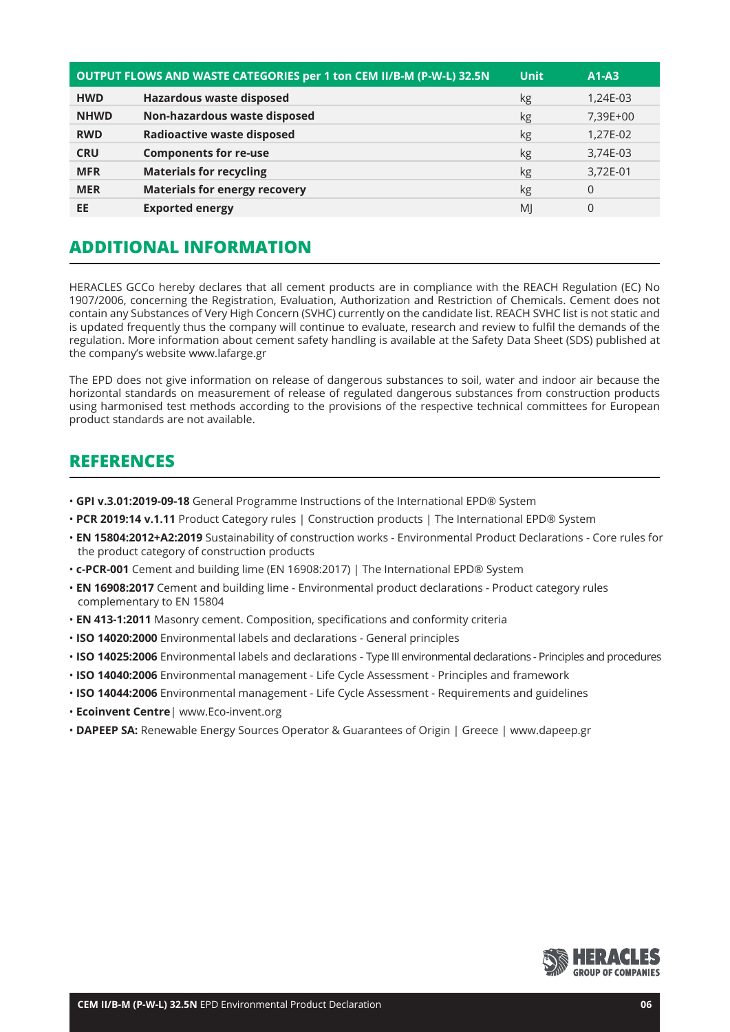| OUTPUT FLOWS AND WASTE CATEGORIES per 1 ton CEM II/B-M (P-W-L) 32.5N |                                      | <b>Unit</b>    | $A1-A3$  |
|----------------------------------------------------------------------|--------------------------------------|----------------|----------|
| <b>HWD</b>                                                           | <b>Hazardous waste disposed</b>      | kg             | 1,24E-03 |
| <b>NHWD</b>                                                          | Non-hazardous waste disposed         | kg             | 7,39E+00 |
| <b>RWD</b>                                                           | <b>Radioactive waste disposed</b>    | kg             | 1,27E-02 |
| <b>CRU</b>                                                           | <b>Components for re-use</b>         | kg             | 3,74E-03 |
| <b>MFR</b>                                                           | <b>Materials for recycling</b>       | kg             | 3,72E-01 |
| <b>MER</b>                                                           | <b>Materials for energy recovery</b> | kg             | $\Omega$ |
| EE                                                                   | <b>Exported energy</b>               | M <sub>l</sub> | 0        |

# **ADDITIONAL INFORMATION**

HERACLES GCCo hereby declares that all cement products are in compliance with the REACH Regulation (EC) No 1907/2006, concerning the Registration, Evaluation, Authorization and Restriction of Chemicals. Cement does not contain any Substances of Very High Concern (SVHC) currently on the candidate list. REACH SVHC list is not static and is updated frequently thus the company will continue to evaluate, research and review to fulfil the demands of the regulation. More information about cement safety handling is available at the Safety Data Sheet (SDS) published at the company's website www.lafarge.gr

The EPD does not give information on release of dangerous substances to soil, water and indoor air because the horizontal standards on measurement of release of regulated dangerous substances from construction products using harmonised test methods according to the provisions of the respective technical committees for European product standards are not available.

## **REFERENCES**

- • **GPI v.3.01:2019-09-18** General Programme Instructions of the International EPD® System
- **PCR 2019:14 v.1.11** Product Category rules | Construction products | The International EPD® System
- **EN 15804:2012+A2:2019** Sustainability of construction works Environmental Product Declarations Core rules for the product category of construction products
- **c-PCR-001** Cement and building lime (EN 16908:2017) | The International EPD® System
- • **EN 16908:2017** Cement and building lime Environmental product declarations Product category rules complementary to EN 15804
- • **EN 413-1:2011** Masonry cement. Composition, specifications and conformity criteria
- • **ISO 14020:2000** Environmental labels and declarations General principles
- • **ISO 14025:2006** Environmental labels and declarations Type III environmental declarations Principles and procedures
- **ISO 14040:2006** Environmental management Life Cycle Assessment Principles and framework
- • **ISO 14044:2006** Environmental management Life Cycle Assessment Requirements and guidelines
- • **Ecoinvent Centre**| www.Eco-invent.org
- **DAPEEP SA:** Renewable Energy Sources Operator & Guarantees of Origin | Greece | www.dapeep.gr

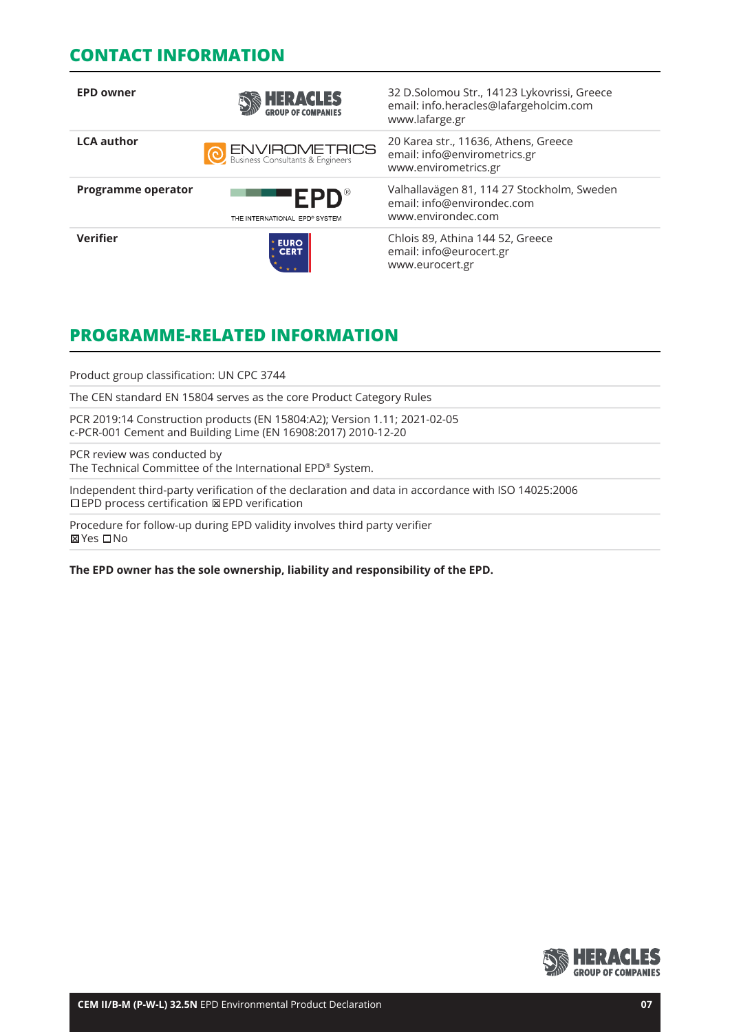## **CONTACT INFORMATION**

| <b>EPD owner</b>          | <b>HERACLES</b>                                            | 32 D.Solomou Str., 14123 Lykovrissi, Greece<br>email: info.heracles@lafargeholcim.com<br>www.lafarge.gr |
|---------------------------|------------------------------------------------------------|---------------------------------------------------------------------------------------------------------|
| <b>LCA author</b>         | <b>O ENVIROMETRICS</b><br>Business Consultants & Engineers | 20 Karea str., 11636, Athens, Greece<br>email: info@envirometrics.gr<br>www.envirometrics.gr            |
| <b>Programme operator</b> | $FPD^*$<br>THE INTERNATIONAL EPD® SYSTEM                   | Valhallavägen 81, 114 27 Stockholm, Sweden<br>email: info@environdec.com<br>www.environdec.com          |
| <b>Verifier</b>           | <b>EURO<br/>CERT</b>                                       | Chlois 89, Athina 144 52, Greece<br>email: info@eurocert.gr<br>www.eurocert.gr                          |

# **PROGRAMME-RELATED INFORMATION**

Product group classification: UN CPC 3744

The CEN standard EN 15804 serves as the core Product Category Rules

PCR 2019:14 Construction products (EN 15804:A2); Version 1.11; 2021-02-05 c-PCR-001 Cement and Building Lime (EN 16908:2017) 2010-12-20

PCR review was conducted by The Technical Committee of the International EPD® System.

Independent third-party verification of the declaration and data in accordance with ISO 14025:2006 EPD process certification EPD verification

Procedure for follow-up during EPD validity involves third party verifier **⊠Yes** □No

**The EPD owner has the sole ownership, liability and responsibility of the EPD.**